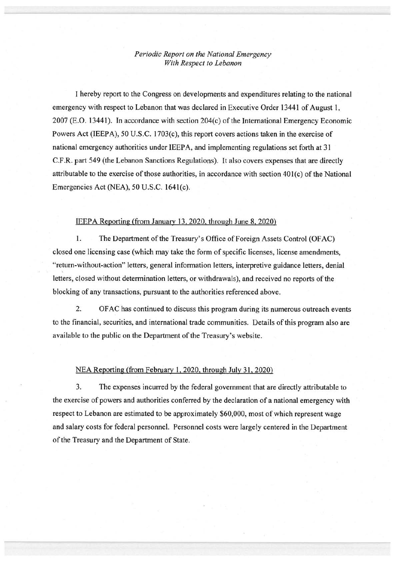## *Periodic Report on the National Emergency With Respect to Lebanon*

I hereby report to the Congress on developments and expenditures relating to the national emergency with respect to Lebanon that was declared in Executive Order 13441 of August 1,  $2007$  (E.O. 13441). In accordance with section  $204(c)$  of the International Emergency Economic Powers Act (IEEPA), 50 U.S.C. 1703(c), this report covers actions taken in the exercise of national emergency authorities under IEEPA, and implementing regulations set forth at 31 C.F.R. part 549 (the Lebanon Sanctions Regulations). It also covers expenses that are directly attributable to the exercise of those authorities, in accordance with section 401(c) of the National Emergencies Act (NEA), 50 U.S.C. 1641(c).

## IEEPA Reporting (from January 13,2020, through June 8. 2020)

1. The Department of the Treasury's Office of Foreign Assets Control (OFAC) closed one licensing case (which may take the form of specific licenses, license amendments, "return-without-action" letters, general information letters, interpretive guidance letters, denial letters, closed without detennination letters, or withdrawals), and received no reports of the blocking of any transactions, pursuant to the authorities referenced above.

2. OF AC has continued to discuss this program during its numerous outreach events to the financial, securities, and international trade communities. Details of this program also are available to the public on the Department of the Treasury's website.

## NEA Reporting (from February 1, 2020. through July 31, 2020)

3. The expenses incurred by the federal government that are directly attributable to the exercise of powers and authorities conferred by the declaration of a national emergency with respect to Lebanon are estimated to be approximately \$60,000, most of which represent wage and salary costs for federal personnel. Personnel costs were largely centered in the Department of the Treasury and the Department of State.